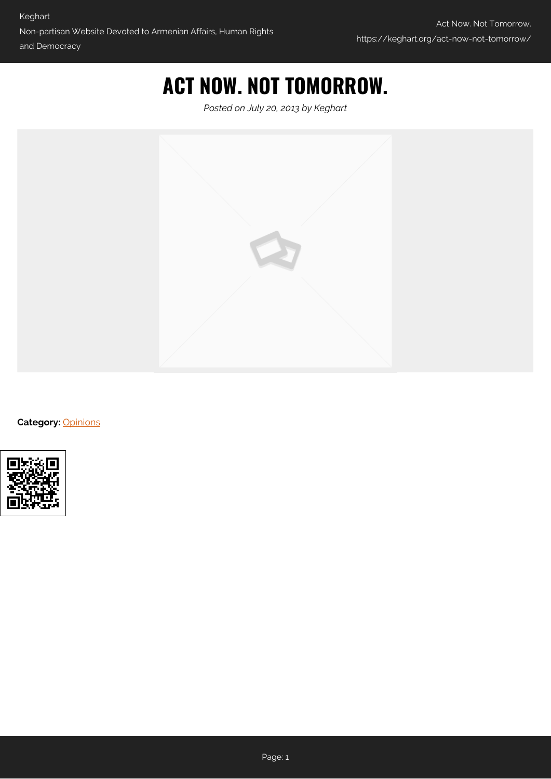## **ACT NOW. NOT TOMORROW.**

*Posted on July 20, 2013 by Keghart*



**Category:** [Opinions](https://keghart.org/category/opinions/)

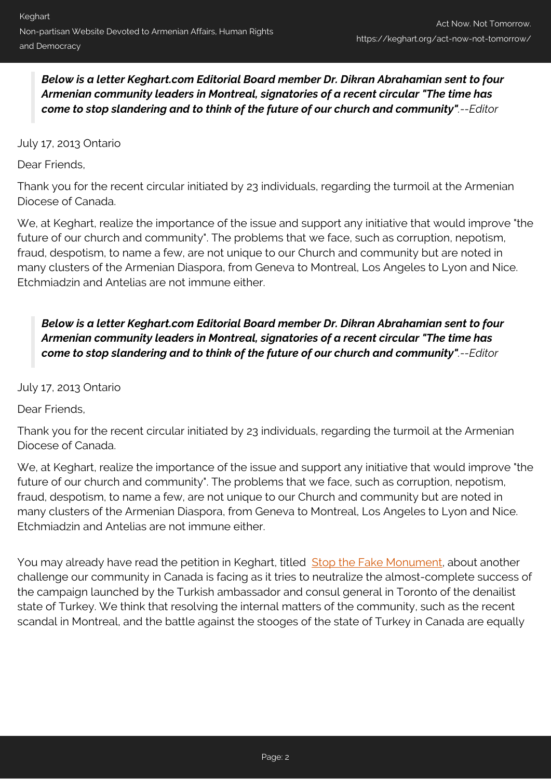*Below is a letter Keghart.com Editorial Board member Dr. Dikran Abrahamian sent to four Armenian community leaders in Montreal, signatories of a recent circular "The time has come to stop slandering and to think of the future of our church and community".--Editor*

July 17, 2013 Ontario

Dear Friends,

Thank you for the recent circular initiated by 23 individuals, regarding the turmoil at the Armenian Diocese of Canada.

We, at Keghart, realize the importance of the issue and support any initiative that would improve "the future of our church and community". The problems that we face, such as corruption, nepotism, fraud, despotism, to name a few, are not unique to our Church and community but are noted in many clusters of the Armenian Diaspora, from Geneva to Montreal, Los Angeles to Lyon and Nice. Etchmiadzin and Antelias are not immune either.

*Below is a letter Keghart.com Editorial Board member Dr. Dikran Abrahamian sent to four Armenian community leaders in Montreal, signatories of a recent circular "The time has come to stop slandering and to think of the future of our church and community".--Editor*

July 17, 2013 Ontario

Dear Friends,

Thank you for the recent circular initiated by 23 individuals, regarding the turmoil at the Armenian Diocese of Canada.

We, at Keghart, realize the importance of the issue and support any initiative that would improve "the future of our church and community". The problems that we face, such as corruption, nepotism, fraud, despotism, to name a few, are not unique to our Church and community but are noted in many clusters of the Armenian Diaspora, from Geneva to Montreal, Los Angeles to Lyon and Nice. Etchmiadzin and Antelias are not immune either.

You may already have read the petition in Keghart, titled [Stop the Fake Monument,](http://www.keghart.com/Petition-Brantford) about another challenge our community in Canada is facing as it tries to neutralize the almost-complete success of the campaign launched by the Turkish ambassador and consul general in Toronto of the denailist state of Turkey. We think that resolving the internal matters of the community, such as the recent scandal in Montreal, and the battle against the stooges of the state of Turkey in Canada are equally